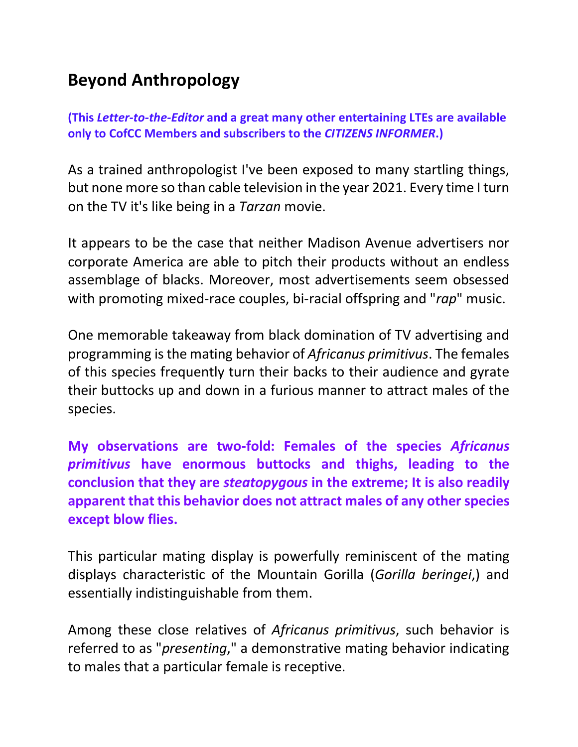## **Beyond Anthropology**

**(This** *Letter-to-the-Editor* **and a great many other entertaining LTEs are available only to CofCC Members and subscribers to the** *CITIZENS INFORMER***.)**

As a trained anthropologist I've been exposed to many startling things, but none more so than cable television in the year 2021. Every time I turn on the TV it's like being in a *Tarzan* movie.

It appears to be the case that neither Madison Avenue advertisers nor corporate America are able to pitch their products without an endless assemblage of blacks. Moreover, most advertisements seem obsessed with promoting mixed-race couples, bi-racial offspring and "*rap*" music.

One memorable takeaway from black domination of TV advertising and programming is the mating behavior of *Africanus primitivus*. The females of this species frequently turn their backs to their audience and gyrate their buttocks up and down in a furious manner to attract males of the species.

**My observations are two-fold: Females of the species** *Africanus primitivus* **have enormous buttocks and thighs, leading to the conclusion that they are** *steatopygous* **in the extreme; It is also readily apparent that this behavior does not attract males of any other species except blow flies.**

This particular mating display is powerfully reminiscent of the mating displays characteristic of the Mountain Gorilla (*Gorilla beringei*,) and essentially indistinguishable from them.

Among these close relatives of *Africanus primitivus*, such behavior is referred to as "*presenting*," a demonstrative mating behavior indicating to males that a particular female is receptive.